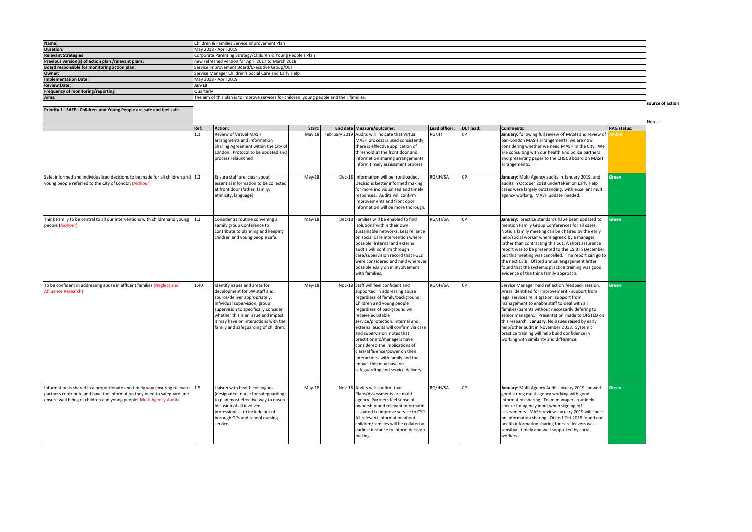| Name:                                                | Children & Families Service Improvement Plan                                               |               |
|------------------------------------------------------|--------------------------------------------------------------------------------------------|---------------|
| Duration:                                            | May 2018 - April 2019                                                                      |               |
| <b>Relevant Strategies</b>                           | Corporate Parenting Strategy/Children & Young People's Plan                                |               |
| Previous version(s) of action plan / relevant plans: | new refreshed version for April 2017 to March 2018                                         |               |
| Board responsible for monitoring action plan:        | Service Improvement Board/Executive Group/DLT                                              |               |
| Owner:                                               | Service Manager Children's Social Care and Early Help                                      |               |
| Implementation Date:                                 | May 2018 - April 2019                                                                      |               |
| <b>Review Date:</b>                                  | Jan-19                                                                                     |               |
| <b>Frequency of monitoring/reporting</b>             | Quarterly                                                                                  |               |
| Aims:                                                | The aim of this plan is to improve services for children, young people and their families. |               |
|                                                      |                                                                                            | ------- - - - |

**source of action**

|                                                                                                                                                                                                                                          | Ref: | <b>Action:</b>                                                                                                                                                                                                                                                                                 | Start:   | End date   Measure/outcome:                                                                                                                                                                                                                                                                                                                                                                                                                                                                                     | Lead officer: | DLT lead: | Comments:                                                                                                                                                                                                                                                                                                                                                                                                                                                                                                                          | <b>RAG status:</b> |
|------------------------------------------------------------------------------------------------------------------------------------------------------------------------------------------------------------------------------------------|------|------------------------------------------------------------------------------------------------------------------------------------------------------------------------------------------------------------------------------------------------------------------------------------------------|----------|-----------------------------------------------------------------------------------------------------------------------------------------------------------------------------------------------------------------------------------------------------------------------------------------------------------------------------------------------------------------------------------------------------------------------------------------------------------------------------------------------------------------|---------------|-----------|------------------------------------------------------------------------------------------------------------------------------------------------------------------------------------------------------------------------------------------------------------------------------------------------------------------------------------------------------------------------------------------------------------------------------------------------------------------------------------------------------------------------------------|--------------------|
|                                                                                                                                                                                                                                          | 1.1  | Review of Virtual MASH<br>arrangments and Information<br>Sharing Agreement within the City of<br>London. Protocol to be updated and<br>process relaunched                                                                                                                                      |          | May 18 February 2019 Audits will indicate that Virtual<br>MASH process is used consistently,<br>there is effective application of<br>threshold at the front door and<br>information sharing arrangements<br>inform timely assessment process.                                                                                                                                                                                                                                                                   | RG/JH         | <b>CP</b> | January: following full review of MASH and review of<br>pan-London MASH arrangements, we are now<br>considering whether we need MASH in the City. We<br>are consulting with our health and police partners<br>and presenting paper to the CHSCB board on MASH<br>arrangements.                                                                                                                                                                                                                                                     | mber               |
| Safe, informed and individualised decisions to be made for all children and 1.2<br>young people referred to the City of London (Aidhour)                                                                                                 |      | Ensure staff are clear about<br>essential information to be collected<br>at front door (father, family,<br>ethnicity, language)                                                                                                                                                                | May-18   | Dec-18 Information will be frontloaded.<br>Decisions better informed making<br>for more individualised and timely<br>responses. Audits will confirm<br>improvements and front door<br>information will be more thorough.                                                                                                                                                                                                                                                                                        | RG/JH/SA      | <b>CP</b> | January: Multi Agency audits in January 2019, and<br>audits in October 2018 undertaken on Early Help<br>cases were largely outstanding, with excellent multi<br>agency working. MASH update needed.                                                                                                                                                                                                                                                                                                                                | Green              |
| Think Family to be central to all our interventions with childrenand young<br>people (Aidhour)                                                                                                                                           | 1.3  | Consider as routine convening a<br>Family group Conference to<br>contribute to planning and keeping<br>children and young people safe.                                                                                                                                                         | May-18   | Dec-18 Families will be enabled to find<br>'solutions'within their own<br>sustainable networks. Less reliance<br>on social care intervention where<br>possible. Internal and external<br>audtis will confirm through<br>case/supervision record that FGCs<br>were considered and held wherever<br>possible early on in involvement<br>with families.                                                                                                                                                            | RG/JH/SA      | <b>CP</b> | January: practice standards have been updated to<br>mention Family Group Conferences for all cases.<br>Note: a family meeting can be chaired by the early<br>help/social worker where agreed by a manager,<br>rather than contracting this out. A short assurance<br>report was to be presented to the CSIB in December,<br>but this meeting was cancelled. The report can go to<br>the next CSIB. Ofsted annual engagement letter<br>found that the systemic practice training was good<br>evidence of the think family approach. | Green              |
| To be confident in addressing abuse in affluent families (Neglect and<br><b>Aflluence Research)</b>                                                                                                                                      | 1.40 | Identify issues and areas for<br>development for SW staff and<br>source/deliver appropriately.<br>Infividual supervision, group<br>supervision to specifically consider<br>whether this is an issue and impact<br>it may have on interactions with the<br>family and safeguarding of children. | $May-18$ | Nov-18 Staff will feel confident and<br>supported in addressing abuse<br>regardless of family/background.<br>Children and young people<br>regardless of background will<br>receive equitable<br>service/protection. Internal and<br>external audits will confirm via case<br>and supervision notes that<br>practitioners/managers have<br>considered the implications of<br>class/affluence/power on their<br>interactions with family and the<br>impact this may have on<br>safeguarding and service delivery. | RG/JH/SA      | <b>CP</b> | Service Manager held reflection feedback session.<br>Areas identified for improvement - support from<br>legal services re lititgation; support from<br>management to enable staff to deal with all<br>families/parents without neccesarily defering to<br>senior managers. Presentation made to OFSTED on<br>this research. January: No issues raised by early<br>help/other audit in November 2018. Systemic<br>practice training will help build confidence in<br>working with similarity and difference.                        | Green              |
| Information is shared in a proportionate and timely way ensuring relevant $\vert$ 1.5<br>partners contribute and have the information they need to safeguard and<br>ensure well being of children and young people( Multi Agency Audit). |      | Liaison with health colleagues<br>(designated nurse for safeguarding)<br>to plan most effective way to ensure<br>Inclusion of all involved<br>professionals, to include out of<br>borough GPs and school nursing<br>service.                                                                   | May-18   | Nov-18 Audits will confirm that<br>Plans/Assessments are multi<br>agency. Partners feel sense of<br>ownership and relevant informatin<br>is shared to improve service to CYP.<br>All relevant information about<br>children/families will be collated at<br>earliest instance to inform decision<br>making.                                                                                                                                                                                                     | RG/JH/SA      | <b>CP</b> | January: Multi Agency Audit January 2019 showed<br>good strong multi agency working with good<br>information sharing. Team managers routinely<br>checke for agency input when signing off<br>assessments. MASH review January 2019 will check<br>on information sharing. Ofsted Oct 2018 found our<br>health information sharing for care leavers was<br>sensitive, timely and well supported by social<br>workers.                                                                                                                | Green              |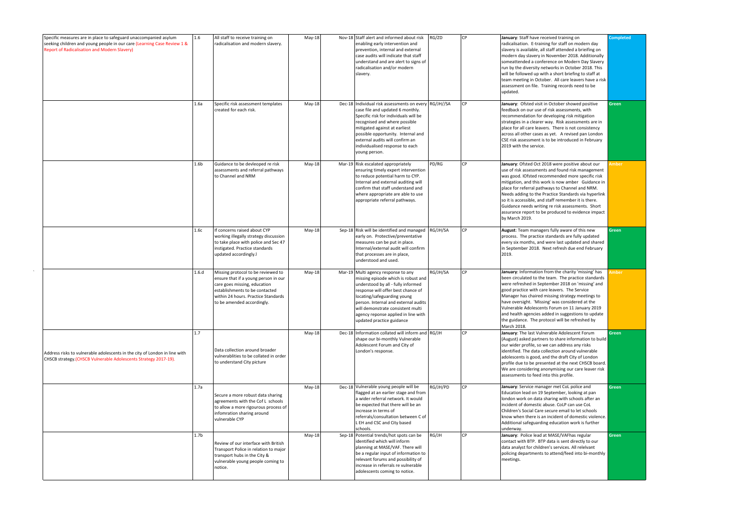| Specific measures are in place to safeguard unaccompanied asylum<br>1.6<br>seeking children and young people in our care (Learning Case Review 1 &<br><b>Report of Radicalisation and Modern Slavery)</b> | All staff to receive training on<br>radicalisation and modern slavery.                                                                                                                                            | $May-18$ | Nov-18 Staff alert and informed about risk<br>enabling early intervention and<br>prevention, internal and external<br>case audits will indicate that staff<br>understand and are alert to signs of<br>radicalisation and/or modern<br>slavery.                                                                                         | RG/ZD    | <b>CP</b> | January: Staff have received training on<br>radicalisation. E-training for staff on modern day<br>slavery is available, all staff attended a brieifing on<br>modern day slavery in November 2018. Additionally<br>someattended a conference on Modern Day Slavery<br>run by the diversity networks in October 2018. This<br>will be followed up with a short briefing to staff at<br>team meeting in October. All care leavers have a risk<br>assessment on file. Training records need to be<br>updated.       | Completed    |
|-----------------------------------------------------------------------------------------------------------------------------------------------------------------------------------------------------------|-------------------------------------------------------------------------------------------------------------------------------------------------------------------------------------------------------------------|----------|----------------------------------------------------------------------------------------------------------------------------------------------------------------------------------------------------------------------------------------------------------------------------------------------------------------------------------------|----------|-----------|-----------------------------------------------------------------------------------------------------------------------------------------------------------------------------------------------------------------------------------------------------------------------------------------------------------------------------------------------------------------------------------------------------------------------------------------------------------------------------------------------------------------|--------------|
| 1.6a                                                                                                                                                                                                      | Specific risk assessment templates<br>created for each risk.                                                                                                                                                      | $May-18$ | Dec-18 Individual risk assessments on every RG/JH//SA<br>case file and updated 6 monthly.<br>Specific risk for individuals will be<br>recognised and where possible<br>mitigated against at earliest<br>possible opportunity. Internal and<br>external audits will confirm an<br>individualised response to each<br>young person.      |          | <b>CP</b> | January: Ofsted visit in October showed positive<br>feedback on our use of risk assessments, with<br>recommendation for developing risk mitigation<br>strategies in a clearer way. Risk assessments are in<br>place for all care leavers. There is not consistency<br>across all other cases as yet. A revised pan London<br>CSE risk assessment is to be introduced in February<br>2019 with the service.                                                                                                      | Green        |
| 1.6 <sub>b</sub>                                                                                                                                                                                          | Guidance to be devleoped re risk<br>assessments and referral pathways<br>to Channel and NRM                                                                                                                       | $May-18$ | Mar-19 Risk escalated appropriately<br>ensuring timely expert intervention<br>to reduce potential harm to CYP.<br>Internal and external auditing will<br>confirm that staff understand and<br>where appropriate are able to use<br>appropriate referral pathways.                                                                      | PD/RG    | <b>CP</b> | January: Ofsted Oct 2018 were positive about our<br>use of risk assessments and found risk management<br>was good. IOfsted recommended more specific risk<br>mitigation, and this work is now amber Guidance in<br>place for referral pathways to Channel and NRM.<br>Needs adding to the Practice Standards via hyperlink<br>so it is accessible, and staff remember it is there.<br>Guidance needs writing re risk assessments. Short<br>assurance report to be produced to evidence impact<br>by March 2019. | <b>Amber</b> |
| 1.6с                                                                                                                                                                                                      | If concerns raised about CYP<br>working illegally strategy discussion<br>to take place with police and Sec 47<br>instigated. Practice standards<br>updated accordingly.I                                          | $May-18$ | Sep-18 Risk will be identified and managed<br>early on. Protective/preventative<br>measures can be put in place.<br>Internal/external audit will confirm<br>that processes are in place,<br>understood and used.                                                                                                                       | RG/JH/SA | l CP      | August: Team managers fully aware of this new<br>process. The practice standards are fully updated<br>every six months, and were last updated and shared<br>in September 2018. Next refresh due end February<br>2019.                                                                                                                                                                                                                                                                                           | <b>Green</b> |
| 1.6.d                                                                                                                                                                                                     | Missing protocol to be reviewed to<br>ensure that if a young person in our<br>care goes missing, education<br>establishments to be contacted<br>within 24 hours. Practice Standards<br>to be amended accordingly. | $May-18$ | Mar-19 Multi agency response to any<br>missing episode which is robust and<br>understood by all - fully informed<br>response will offer best chance of<br>locating/safeguarding young<br>person. Internal and external audits<br>will demonstrate consistent multi<br>agency reponse applied in line with<br>updated practice guidance | RG/JH/SA | l CP      | January: Information from the charity 'missing' has<br>been circulated to the team. The practice standards<br>were refreshed in September 2018 on 'missing' and<br>good practice with care leavers. The Service<br>Manager has chaired missing strategy meetings to<br>have oversight. 'Missing' was considered at the<br>Vulnerable Adolescents Forum on 11 January 2019<br>and health agencies added in suggestions to update<br>the guidance. The protocol will be refreshed by<br>March 2018.               | <b>Amber</b> |
| 1.7<br>Address risks to vulnerable adolescents in the city of London in line with<br>CHSCB strategy.(CHSCB Vulnerable Adolescents Strategy 2017-19).                                                      | Data collection around broader<br>vulnerablities to be collated in order<br>to understand City picture                                                                                                            | $May-18$ | Dec-18 Information collated will inform and RG/JH<br>shape our bi-monthly Vulnerable<br>Adolescent Forum and City of<br>London's response.                                                                                                                                                                                             |          | l CP      | January: The last Vulnerable Adolescent Forum<br>(August) asked partners to share information to build<br>our wider profile, so we can address any risks<br>identified. The data collection around vulnerable<br>adolescents is good, and the draft City of London<br>profile due to be presented at the next CHSCB board.<br>We are considering anonymising our care leaver risk<br>assessments to feed into this profile.                                                                                     | Green        |
| 1.7a                                                                                                                                                                                                      | Secure a more robust data sharing<br>agreements with the Cof L schools<br>to allow a more rigourous process of<br>infomration sharing around<br>vulnerable CYP                                                    | $May-18$ | Dec-18 Vulnerable young people will be<br>flagged at an earlier stage and from<br>a wider referral network. It would<br>be expected that there will be an<br>increase in terms of<br>referrals/consultation between C of<br>L EH and CSC and City based<br>schools.                                                                    | RG/JH/PD | <b>CP</b> | January: Service manager met CoL police and<br>Education lead on 19 September, looking at pan<br>london work on data sharing with schools after an<br>incident of domestic abuse. CoLP can use CoL<br>Children's Social Care secure email to let schools<br>know when there is an incident of domestic violence.<br>Additional safeguarding education work is further<br>underway.                                                                                                                              | <b>Green</b> |
| 1.7 <sub>b</sub>                                                                                                                                                                                          | Review of our interface with British<br>Transport Police in relation to major<br>transport hubs in the City &<br>vulnerable young people coming to<br>notice.                                                     | $May-18$ | Sep-18 Potential trends/hot spots can be<br>identified which will inform<br>planning at MASE/VAF. There will<br>be a regular input of information to<br>relevant forums and possibility of<br>increase in referrals re vulnerable<br>adolescents coming to notice.                                                                     | RG/JH    | l CP      | January: Police lead at MASE/VAFhas regular<br>contact with BTP. BTP data is sent directly to our<br>data analyst for children's services. All relelvant<br>policing departments to attend/feed into bi-monthly<br>meetings.                                                                                                                                                                                                                                                                                    | Green        |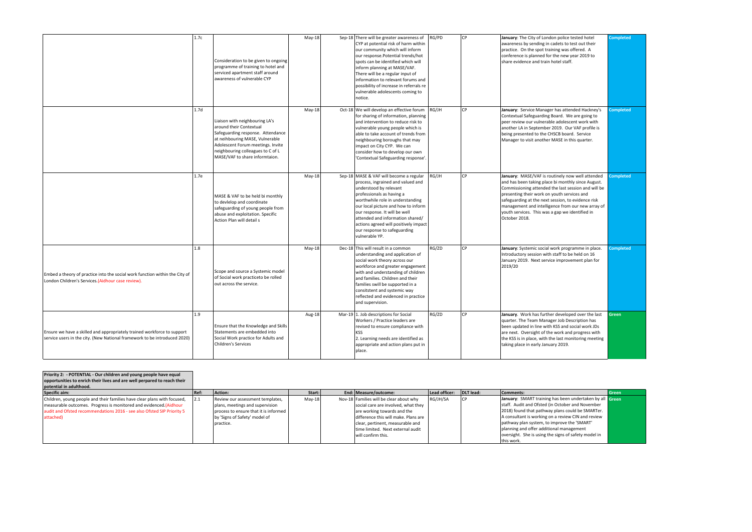|                                                                                                                                                      | 1.7 <sub>c</sub> | Consideration to be given to ongoing<br>programme of training to hotel and<br>serviced apartment staff around<br>awareness of vulnerable CYP                                                                                                  | May-18   | Sep-18 There will be greater awareness of<br>RG/PD<br>CYP at potential risk of harm within<br>our community which will inform<br>our response. Potential trends/hot<br>spots can be identified which will<br>inform planning at MASE/VAF.<br>There will be a regular input of<br>information to relevant forums and<br>possibility of increase in referrals re<br>vulnerable adolescents coming to<br>notice. | <b>CP</b> | January: The City of London police tested hotel<br>awareness by sending in cadets to test out their<br>practice. On the spot training was offered. A<br>conference is planned for the new year 2019 to<br>share evidence and train hotel staff.                                                                                                                                             | <b>Completed</b> |
|------------------------------------------------------------------------------------------------------------------------------------------------------|------------------|-----------------------------------------------------------------------------------------------------------------------------------------------------------------------------------------------------------------------------------------------|----------|---------------------------------------------------------------------------------------------------------------------------------------------------------------------------------------------------------------------------------------------------------------------------------------------------------------------------------------------------------------------------------------------------------------|-----------|---------------------------------------------------------------------------------------------------------------------------------------------------------------------------------------------------------------------------------------------------------------------------------------------------------------------------------------------------------------------------------------------|------------------|
|                                                                                                                                                      | 1.7d             | Liaison with neighbouring LA's<br>around their Contextual<br>Safeguarding response. Attendance<br>at neihbouring MASE, Vulnerable<br>Adolescent Forum meetings. Invite<br>neighbouring colleagues to C of L<br>MASE/VAF to share informtaion. | $May-18$ | Oct-18 We will develop an effective forum<br>RG/JH<br>for sharing of information, planning<br>and intervention to reduce risk to<br>vulnerable young people which is<br>able to take account of trends from<br>neighbouring boroughs that may<br>impact on City CYP. We can<br>consider how to develop our own<br>'Contextual Safeguarding response'.                                                         | <b>CP</b> | January: Service Manager has attended Hackney's<br>Contextual Safeguarding Board. We are going to<br>peer review our vulnerable adolescent work with<br>another LA in September 2019. Our VAF profile is<br>being presented to the CHSCB board. Service<br>Manager to visit another MASE in this quarter.                                                                                   | <b>Completed</b> |
|                                                                                                                                                      | 1.7e             | MASE & VAF to be held bi monthly<br>to devielop and coordinate<br>safeguarding of young people from<br>abuse and exploitation. Specific<br>Action Plan will detail s                                                                          | May-18   | Sep-18 MASE & VAF will become a regular<br>RG/JH<br>process, ingrained and valued and<br>understood by relevant<br>professionals as having a<br>worthwhile role in understanding<br>our local picture and how to inform<br>our response. It will be well<br>attended and information shared/<br>actions agreed will positively impact<br>our response to safeguarding<br>vulnerable YP.                       | <b>CP</b> | January: MASE/VAF is routinely now well attended<br>and has been taking place bi monthly since August.<br>Commissioning attended the last session and will be<br>presenting their work on youth services and<br>safeguarding at the next session, to evidence risk<br>management and intelligence from our new array of<br>youth services. This was a gap we identified in<br>October 2018. | <b>Completed</b> |
| Embed a theory of practice into the social work function within the City of<br>London Children's Services. (Aidhour case review).                    | 1.8              | Scope and source a Systemic model<br>of Social work practiceto be rolled<br>out across the service.                                                                                                                                           | $May-18$ | Dec-18 This will result in a common<br>RG/ZD<br>understanding and application of<br>social work theory across our<br>workforce and greater engagement<br>with and understanding of children<br>and families. Children and their<br>families swill be supported in a<br>consitstent and systemic way<br>reflected and evidenced in practice<br>and supervision.                                                | CP        | January: Systemic social work programme in place.<br>Introductory session with staff to be held on 16<br>January 2019. Next service improvement plan for<br>2019/20                                                                                                                                                                                                                         | <b>Completed</b> |
| Ensure we have a skilled and appropriately trained workforce to support<br>service users in the city. (New National framework to be introduced 2020) | 1.9              | Ensure that the Knowledge and Skills<br>Statements are embedded into<br>Social Work practice for Adults and<br><b>Children's Services</b>                                                                                                     | Aug-18   | RG/ZD<br>Mar-19 $\vert$ 1. Job descriptions for Social<br>Workers / Practice leaders are<br>revised to ensure compliance with<br><b>KSS</b><br>2. Learning needs are identified as<br>appropriate and action plans put in<br>place.                                                                                                                                                                           | <b>CP</b> | January. Work has further developed over the last<br>quarter. The Team Manager Job Description has<br>been updated in line with KSS and social work JDs<br>are next. Oversight of the work and progress with<br>the KSS is in place, with the last monitoring meeting<br>taking place in early January 2019.                                                                                | <b>Green</b>     |

| Priority 2: - POTENTIAL - Our children and young people have equal<br>opportunities to enrich their lives and are well perpared to reach their<br>potential in adulthood.                                                            |              |                                                                                                                                                            |          |                                                                                                                                                                                                                                                          |                                         |                                                                                                                                                                                                                                                                                                                                                                                          |       |
|--------------------------------------------------------------------------------------------------------------------------------------------------------------------------------------------------------------------------------------|--------------|------------------------------------------------------------------------------------------------------------------------------------------------------------|----------|----------------------------------------------------------------------------------------------------------------------------------------------------------------------------------------------------------------------------------------------------------|-----------------------------------------|------------------------------------------------------------------------------------------------------------------------------------------------------------------------------------------------------------------------------------------------------------------------------------------------------------------------------------------------------------------------------------------|-------|
| Specific aim:                                                                                                                                                                                                                        | <b>IRef:</b> | <b>Action:</b>                                                                                                                                             | Start:   | End:   Measure/outcome:                                                                                                                                                                                                                                  | $\vert$ Lead officer: $\vert$ DLT lead: | Comments:                                                                                                                                                                                                                                                                                                                                                                                | Green |
| Children, young people and their families have clear plans with focused,<br>measurable outcomes. Progress is monitored and evidenced.(Aidhour<br>audit and Ofsted recommendations 2016 - see also Ofsted SIP Priority 5<br>attached) | 12.1         | Review our assessment templates,<br>plans, meetings and supervision<br>process to ensure that it is informed<br>by 'Signs of Safety' model of<br>practice. | $May-18$ | Nov-18 Families will be clear about why<br>social care are involved, what they<br>are working towards and the<br>I difference this will make. Plans are<br>clear, pertinent, measurable and<br>I time limited. Next external audit<br>will confirm this. | RG/JH/SA                                | January: SMART training has been undertaken by all Green<br>staff. Audit and Ofsted (in October and November<br>[2018] found that pathway plans could be SMARTer.<br>A consultant is working on a review CIN and review<br>pathway plan system, to improve the 'SMART'<br>planning and offer additional management<br>oversight. She is using the signs of safety model in<br>this work. |       |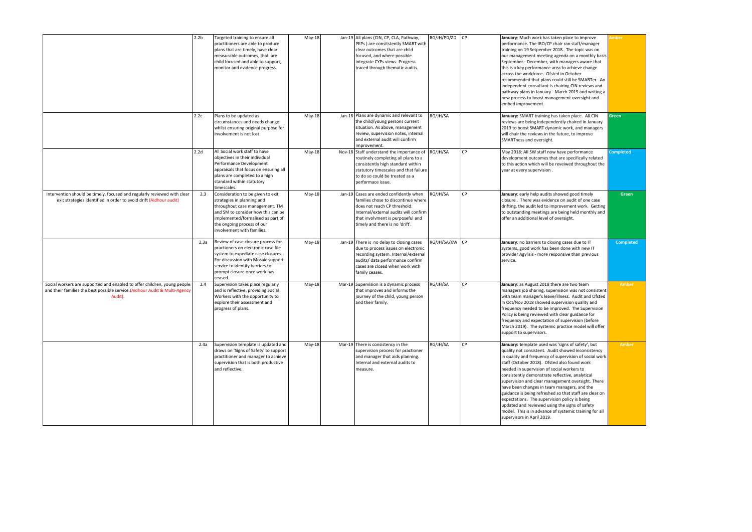|                                                                                                                                                                   | 2.2 <sub>b</sub> | Targeted training to ensure all<br>practitioners are able to produce<br>plans that are timely, have clear<br>measurable outcomes, that are<br>child focused and able to support,<br>monitor and evidence progress.                       | $May-18$ | Jan-19 All plans (CIN, CP, CLA, Pathway,<br>PEPs ) are consitstently SMART with<br>clear outcomes that are child<br>focused, and where possible<br>integrate CYPs views. Progress<br>traced through thematic audits.            | RG/JH/PD/ZD    | CP   | January: Much work has taken place to improve<br>performance. The IRO/CP chair ran staff/manager<br>training on 19 Setpember 2018. The topic was on<br>our management meeting agenda on a monthly basis<br>September - December, with managers aware that<br>this is a key performance area to achieve change<br>across the workforce. Ofsted in October<br>recommended that plans could still be SMARTer. An<br>independent consultant is chairing CIN reviews and<br>pathway plans in January - March 2019 and writing a<br>new process to boost management oversight and<br>embed improvement.                                                                           | <b>Imber</b>     |
|-------------------------------------------------------------------------------------------------------------------------------------------------------------------|------------------|------------------------------------------------------------------------------------------------------------------------------------------------------------------------------------------------------------------------------------------|----------|---------------------------------------------------------------------------------------------------------------------------------------------------------------------------------------------------------------------------------|----------------|------|-----------------------------------------------------------------------------------------------------------------------------------------------------------------------------------------------------------------------------------------------------------------------------------------------------------------------------------------------------------------------------------------------------------------------------------------------------------------------------------------------------------------------------------------------------------------------------------------------------------------------------------------------------------------------------|------------------|
|                                                                                                                                                                   | 2.2c             | Plans to be updated as<br>circumstances and needs change<br>whilst ensuring original purpose for<br>involvement is not lost                                                                                                              | $May-18$ | Jan-18 Plans are dynamic and relevant to<br>the child/young persons current<br>situation. As above, management<br>review, supervision notes, internal<br>and external audit will confirm<br>improvement.                        | RG/JH/SA       |      | January: SMART training has taken place. All CIN<br>reviews are being independently chaired in January<br>2019 to boost SMART dynamic work, and managers<br>will chair the reviews in the future, to improve<br>SMARTness and oversight.                                                                                                                                                                                                                                                                                                                                                                                                                                    | Green            |
|                                                                                                                                                                   | 2.2 <sub>d</sub> | All Social work staff to have<br>objectives in their individual<br>Performance Development<br>appraisals that focus on ensuring all<br>plans are completed to a high<br>standard within statutory<br>timescales.                         | $May-18$ | Nov-18 Staff understand the importance of<br>routinely completing all plans to a<br>consistently high standard within<br>statutory timescales and that failure<br>to do so could be treated as a<br>performace issue.           | RG/JH/SA       | CP   | May 2018: All SW staff now have performance<br>development outcomes that are specifically related<br>to this action which will be reveiwed throughout the<br>year at every supervision.                                                                                                                                                                                                                                                                                                                                                                                                                                                                                     | completed        |
| Intervention should be timely, focused and regularly reviewed with clear<br>exit strategies identified in order to avoid drift (Aidhour audit)                    | 2.3              | Consideration to be given to exit<br>strategies in planning and<br>throughout case management. TM<br>and SM to consider how this can be<br>implemented/formalised as part of<br>the ongoing process of our<br>involvement with families. | $May-18$ | Jan-19 Cases are ended confidently when<br>families chose to discontinue where<br>does not reach CP threshold.<br>Internal/external audits will confirm<br>that involvment is purposeful and<br>timely and there is no 'drift'. | RG/JH/SA       | l CP | January: early help audits showed good timely<br>closure. There was evidence on audit of one case<br>drifting, the audit led to improvement work. Getting<br>to outstanding meetings are being held monthly and<br>offer an additional level of oversight.                                                                                                                                                                                                                                                                                                                                                                                                                  | Green            |
|                                                                                                                                                                   | 2.3a             | Review of case closure process for<br>practioners on electronic case file<br>system to expediate case closures.<br>For discussion with Mosaic support<br>service to identify barriers to<br>prompt closure once work has<br>ceased.      | $May-18$ | Jan-19 There is no delay to closing cases<br>due to process issues on electronic<br>recording system. Internal/external<br>audits/ data performance confirm<br>cases are closed when work with<br>family ceases.                | RG/JH/SA/KW CP |      | January: no barriers to closing cases due to IT<br>systems, good work has been done with new IT<br>provider Agylisis - more responsive than previous<br>service.                                                                                                                                                                                                                                                                                                                                                                                                                                                                                                            | <b>Completed</b> |
| Social workers are supported and enabled to offer children, young people<br>and their families the best possible service.(Aidhour Audit & Multi-Agency<br>Audit). | 2.4              | Supervision takes place regularly<br>and is reflective, providing Social<br>Workers with the opportunity to<br>explore their assessment and<br>progress of plans.                                                                        | $May-18$ | Mar-19 Supervision is a dynamic process<br>that improves and informs the<br>journey of the child, young person<br>and their family.                                                                                             | RG/JH/SA       | CP   | January: as August 2018 there are two team<br>managers job sharing, supervision was not consistent<br>with team manager's leave/illness. Audit and Ofsted<br>in Oct/Nov 2018 showed supervision quality and<br>frequency needed to be improved. The Supervision<br>Policy is being reviewed with clear guidance for<br>frequency and expectation of supervision (before<br>March 2019). The systemic practice model will offer<br>support to supervisors.                                                                                                                                                                                                                   | Amber            |
|                                                                                                                                                                   | 2.4a             | Supervision template is updated and<br>draws on 'Signs of Safety' to support<br>practitioner and manager to achieve<br>supervision that is both productive<br>and reflective.                                                            | May-18   | Mar-19 There is consistency in the<br>supervision process for practioner<br>and manager that aids planning.<br>Internal and external audits to<br>measure.                                                                      | RG/JH/SA       | l CP | January: template used was 'signs of safety', but<br>quality not consistent. Audit showed inconsistency<br>in quality and frequency of supervision of social work<br>staff (October 2018). Ofsted also found work<br>needed in supervision of social workers to<br>consistently demonstrate reflective, analytical<br>supervision and clear management oversight. There<br>have been changes in team managers, and the<br>guidance is being refreshed so that staff are clear on<br>expectations. The supervision policy is being<br>updated and reviewed using the signs of safety<br>model. This is in advance of systemic training for all<br>supervisors in April 2019. | Amber            |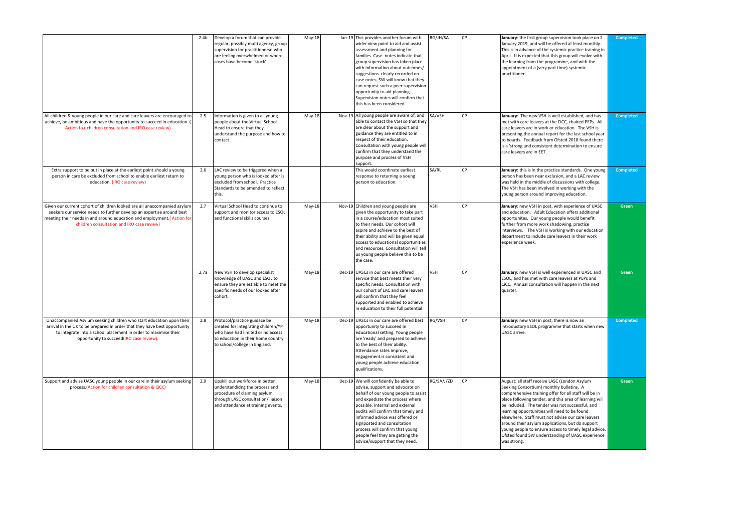|                                                                                                                                                                                                                                                                           | 2.4 <sub>b</sub> | Develop a forum that can provide<br>regular, possibly multi agency, group<br>supervision for practitionersn who<br>are feeling overwhelmed or where<br>cases have become 'stuck' | May-18   | Jan-19 This provides another forum with<br>wider view point to aid and assist<br>assessment and planning for<br>families. Case notes indicate that<br>group supervision has taken place<br>with information about outcomes/<br>suggestions clearly recorded on<br>case notes. SW will know that they<br>can request such a peer supervision<br>opportunity to aid planning.<br>Supervision notes will confirm that<br>this has been considered. | RG/JH/SA   | <b>CP</b> | January: the first group supervision took place on 2<br>January 2019, and will be offered at least monthly.<br>This is in advance of the systemic practice training in<br>April. It is expected that this group will evolve with<br>the learning from the programme, and with the<br>appointment of a (very part time) systemic<br>practitioner.                                                                                                                                                                                                     | <b>Completed</b> |
|---------------------------------------------------------------------------------------------------------------------------------------------------------------------------------------------------------------------------------------------------------------------------|------------------|----------------------------------------------------------------------------------------------------------------------------------------------------------------------------------|----------|-------------------------------------------------------------------------------------------------------------------------------------------------------------------------------------------------------------------------------------------------------------------------------------------------------------------------------------------------------------------------------------------------------------------------------------------------|------------|-----------|------------------------------------------------------------------------------------------------------------------------------------------------------------------------------------------------------------------------------------------------------------------------------------------------------------------------------------------------------------------------------------------------------------------------------------------------------------------------------------------------------------------------------------------------------|------------------|
| All children & young people in our care and care leavers are encouraged to<br>achieve, be ambitious and have the opportunity to succeed in education (<br>Action for children consultation and IRO case review)                                                           | 2.5              | Information is given to all young<br>people about the Virtual School<br>Head to ensure that they<br>understand the purpose and how to<br>contact.                                | May-18   | Nov-19 All young people are aware of, and $\left  S_{A}/\sqrt{S_{H}}\right $<br>able to contact the VSH so that they<br>are clear about the support and<br>guidance they are entitled to in<br>respect of their education.<br>Consultation with young people will<br>confirm that they understand the<br>purpose and process of VSH<br>support.                                                                                                 |            | l CP      | January: The new VSH is well established, and has<br>met with care leavers at the CiCC, chaired PEPs. All<br>care leavers are in work or education. The VSH is<br>presenting the annual report for the last school year<br>to boards. Feedback from Ofsted 2018 found there<br>is a 'strong and consistent determination to ensure<br>care leavers are in EET.                                                                                                                                                                                       | <b>Completed</b> |
| Extra support to be put in place at the earliest point should a young<br>person in care be excluded from school to enable earliest return to<br>education. (IRO case review)                                                                                              | 2.6              | LAC review to be triggered when a<br>young person who is looked after is<br>excluded from school. Practice<br>Standards to be amended to reflect<br>this.                        |          | This would coordinate earliest<br>response to returning a young<br>person to education.                                                                                                                                                                                                                                                                                                                                                         | SA/RL      | l CP      | January: this is in the practice standards. One young<br>person has been near exclusion, and a LAC review<br>was held in the middle of discussions with college.<br>The VSH has been involved in working with the<br>young person around improving education.                                                                                                                                                                                                                                                                                        | <b>Completed</b> |
| Given our current cohort of children looked are all unaccompanied asylum<br>seekers our service needs to further develop an expertise around best<br>meeting their needs in and around education and employment (Action for<br>children consultation and IRO case review) | 2.7              | Virtual School Head to continue to<br>support and monitor access to ESOL<br>and functional skills courses                                                                        | $May-18$ | $\sqrt{\text{Nov-19}}$ Children and young people are<br>given the opportunity to take part<br>in a course/education most suited<br>to their needs. Our cohort will<br>aspire and achieve to the best of<br>their ability and will be given equal<br>access to educational opportunities<br>and resources. Consultation will tell<br>us young people believe this to be<br>the case.                                                             | <b>VSH</b> | l CP      | January: new VSH in post, with experience of UASC<br>and education. Adult Education offers additional<br>opportunites. Our young people would benefit<br>further from more work shadowing, practice<br>interviews. The VSH is working with our education<br>department to include care leavers in their work<br>experience week.                                                                                                                                                                                                                     | <b>Green</b>     |
|                                                                                                                                                                                                                                                                           | 2.7a             | New VSH to develop specialist<br>knowledge of UASC and ESOL to<br>ensure they are est able to meet the<br>specific needs of our looked after<br>cohort.                          | May-18   | Dec-19 UASCs in our care are offered<br>service that best meets their very<br>specific needs. Consultation with<br>our cohort of LAC and care leavers<br>will confirm that they feel<br>supported and enabled to achieve<br>in education to their full potential                                                                                                                                                                                | <b>VSH</b> | <b>CP</b> | January: new VSH is well experienced in UASC and<br>ESOL, and has met with care leavers at PEPs and<br>CiCC. Annual consultation will happen in the next<br>quarter.                                                                                                                                                                                                                                                                                                                                                                                 | <b>Green</b>     |
| Unaccompanied Asylum seeking children who start education upon their<br>arrival in the UK to be prepared in order that they have best opportunity<br>to integrate into a school placement in order to maximise their<br>opportunity to succeed(IRO case review).          | 2.8              | Protocol/practice guidace be<br>created for integrating children/YP<br>who have had limited or no access<br>to education in their home country<br>to school/college in England.  | $May-18$ | Dec-19 UASCs in our care are offered best<br>opportunity to succeed in<br>educational setting. Young people<br>are 'ready' and prepared to achieve<br>to the best of their ability.<br>Attendance rates improve,<br>engagement is consistent and<br>young people achieve education<br>qualifications.                                                                                                                                           | RG/VSH     | l CP      | January: new VSH in post, there is now an<br>introductory ESOL programme that starts when new<br>UASC arrive.                                                                                                                                                                                                                                                                                                                                                                                                                                        | <b>Completed</b> |
| Support and advise UASC young people in our care in their asylum seeking<br>process (Action for children consultation & CiCC)                                                                                                                                             | 2.9              | Upskill our workforce in better<br>understandidng the process and<br>procedure of claiming asylum<br>through LASC consultation/ liaison<br>and attendance at training events.    | $May-18$ | Dec-19   We will confidently be able to<br>advise, support and advocate on<br>behalf of our young people to assist<br>and expediate the process where<br>possible. Internal and external<br>audits will confirm that timely and<br>informed advice was offered or<br>signposted and consultation<br>process will confirm that young<br>people feel they are getting the<br>advice/support that they need.                                       | RG/SA/J/ZD | <b>CP</b> | August: all staff receive LASC (London Asylum<br>Seeking Consortium) monthly bulletins. A<br>comprehensive training offer for all staff will be in<br>place following tender, and this area of learning will<br>be included. The tender was not successful, and<br>learning opportunities will need to be found<br>elsewhere. Staff must not advise our care leavers<br>around their asylum applications, but do support<br>young people to ensure access to timely legal advice.<br>Ofsted found SW understanding of UASC experience<br>was strong. | Green            |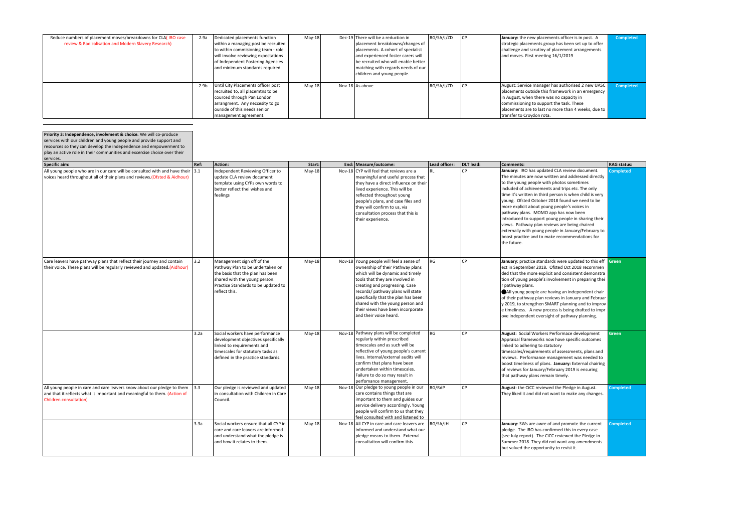| Reduce numbers of placement moves/breakdowns for CLA(IRO case<br>review & Radicalisation and Modern Slavery Research) | 2.9a             | Dedicated placements function<br>within a managing post be recruited<br>to within commisioning team - role<br>will involve reviewing expectations<br>of Independent Fostering Agencies<br>and minimum standards required. | May-18   | Dec-19 There will be a reduction in<br>placement breakdowns/changes of<br>placements. A cohort of specialist<br>and experienced foster carers will<br>be recruited who will enable better<br>matching with regards needs of our<br>children and young people. | RG/SA/J/ZD | January: the new placements officer is in post. A<br>strategic placements group has been set up to offer<br>challenge and scrutiny of placement arrangements<br>and moves. First meeting 16/1/2019                                                                                 | <b>Completed</b> |
|-----------------------------------------------------------------------------------------------------------------------|------------------|---------------------------------------------------------------------------------------------------------------------------------------------------------------------------------------------------------------------------|----------|---------------------------------------------------------------------------------------------------------------------------------------------------------------------------------------------------------------------------------------------------------------|------------|------------------------------------------------------------------------------------------------------------------------------------------------------------------------------------------------------------------------------------------------------------------------------------|------------------|
|                                                                                                                       | 2.9 <sub>b</sub> | Until City Placements officer post<br>recruited to, all placemtns to be<br>courced through Pan London<br>arrangment. Any neccesity to go<br>ourside of this needs senior<br>management agreement.                         | $May-18$ | Nov-18 As above                                                                                                                                                                                                                                               | RG/SA/J/ZD | August: Service manager has authorised 2 new UASC<br>placements outside this framework in an emergency<br>in August, when there was no capacity in<br>commissioning to support the task. These<br>placements are to last no more than 4 weeks, due to<br>transfer to Croydon rota. | <b>Completed</b> |

| Priority 3: Independence, involvment & choice. We will co-produce<br>services with our children and young people and provide support and<br>resources so they can develop the independence and empowerment to<br>play an active role in their communities and excercise choice over their<br>services. |      |                                                                                                                                                                                             |          |                                                                                                                                                                                                                                                                                                                                                                      |               |           |                                                                                                                                                                                                                                                                                                                                                                                                                                                                                                                                                                                                                                           |                    |
|--------------------------------------------------------------------------------------------------------------------------------------------------------------------------------------------------------------------------------------------------------------------------------------------------------|------|---------------------------------------------------------------------------------------------------------------------------------------------------------------------------------------------|----------|----------------------------------------------------------------------------------------------------------------------------------------------------------------------------------------------------------------------------------------------------------------------------------------------------------------------------------------------------------------------|---------------|-----------|-------------------------------------------------------------------------------------------------------------------------------------------------------------------------------------------------------------------------------------------------------------------------------------------------------------------------------------------------------------------------------------------------------------------------------------------------------------------------------------------------------------------------------------------------------------------------------------------------------------------------------------------|--------------------|
| <b>Specific aim:</b>                                                                                                                                                                                                                                                                                   | Ref: | <b>Action:</b>                                                                                                                                                                              | Start:   | End:   Measure/outcome:                                                                                                                                                                                                                                                                                                                                              | Lead officer: | DLT lead: | <b>Comments:</b>                                                                                                                                                                                                                                                                                                                                                                                                                                                                                                                                                                                                                          | <b>RAG status:</b> |
| All young people who are in our care will be consulted with and have their $\vert$ 3.1<br>voices heard throughout all of their plans and reviews. (Ofsted & Aidhour)                                                                                                                                   |      | Independent Reviewing Officer to<br>update CLA review document<br>template using CYPs own words to<br>better reflect thei wishes and<br>feelings                                            | $May-18$ | Nov-18 CYP will feel that reviews are a<br>meaningful and useful process that<br>they have a direct influence on their<br>lived experience. This will be<br>reflected throughout young<br>people's plans, and case files and<br>they will confirm to us, via<br>consultation process that this is<br>their experience.                                               | RI            | <b>CP</b> | January: IRO has updated CLA review document.<br>The minutes are now written and addressed directly<br>to the young people with photos sometimes<br>included of achievements and trips etc. The only<br>time it's written in third person is when child is very<br>young. Ofsted October 2018 found we need to be<br>more explicit about young people's voices in<br>pathway plans. MOMO app has now been<br>introduced to support young people in sharing their<br>views. Pathway plan reviews are being chaired<br>externally with young people in January/February to<br>boost practice and to make recommendations for<br>the future. | <b>Completed</b>   |
| Care leavers have pathway plans that reflect their journey and contain<br>their voice. These plans will be regularly reviewed and updated.(Aidhour)                                                                                                                                                    | 3.2  | Management sign off of the<br>Pathway Plan to be undertaken on<br>the basis that the plan has been<br>shared with the young person.<br>Practice Standards to be updated to<br>reflect this. | $May-18$ | Nov-18 Young people will feel a sense of<br>ownership of their Pathway plans<br>which will be dynamic and timely<br>tools that they are involved in<br>creating and progressing. Case<br>records/ pathway plans will state<br>specifically that the plan has been<br>shared with the young person and<br>their views have been incorporate<br>and their voice heard. | <b>RG</b>     | l CP      | January: practice standards were updated to this eff Green<br>ect in September 2018. Ofsted Oct 2018 recommen<br>ded that the more explicit and consistent demonstra<br>tion of young people's involvement in preparing thei<br>r pathway plans.<br>All young people are having an independent chair<br>of their pathway plan reviews in January and Februar<br>y 2019, to strengthen SMART planning and to improv<br>e timeliness. A new process is being drafted to impr<br>ove independent oversight of pathway planning.                                                                                                              |                    |
|                                                                                                                                                                                                                                                                                                        | 3.2a | Social workers have performance<br>development objectives specifically<br>linked to requirements and<br>timescales for statutory tasks as<br>defined in the practice standards.             | $May-18$ | Nov-18 Pathway plans will be completed<br>regularly within prescribed<br>timescales and as such will be<br>reflective of young people's current<br>lives. Internal/external audits will<br>confirm that plans have been<br>undertaken within timescales.<br>Failure to do so may result in<br>perfomance management.                                                 | <b>RG</b>     | lcp.      | August: Social Workers Performace development<br>Appraisal frameworks now have specific outcomes<br>linked to adhering to statutory<br>timescales/requirements of assessments, plans and<br>reviews. Performance management was needed to<br>boost timeliness of plans. January: External chairing<br>of reviews for January/February 2019 is ensuring<br>that pathway plans remain timely.                                                                                                                                                                                                                                               | Green              |
| All young people in care and care leavers know about our pledge to them<br>and that it reflects what is important and meaningful to them. (Action of<br>Children consultation)                                                                                                                         | 3.3  | Our pledge is reviewed and updated<br>in consultation with Children in Care<br>Council.                                                                                                     | May-18   | Nov-18 Our pledge to young people in our<br>care contains things that are<br>important to them and guides our<br>service delivery accordingly. Young<br>people will confirm to us that they<br>feel consulted with and listened to                                                                                                                                   | RG/RdP        | l CP      | August: the CiCC reviewed the Pledge in August.<br>They liked it and did not want to make any changes.                                                                                                                                                                                                                                                                                                                                                                                                                                                                                                                                    | <b>Completed</b>   |
|                                                                                                                                                                                                                                                                                                        | 3.3a | Social workers ensure that all CYP in<br>care and care leavers are informed<br>and understand what the pledge is<br>and how it relates to them.                                             | $May-18$ | Nov-18 All CYP in care and care leavers are<br>informed and understand what our<br>pledge means to them. External<br>consultaiton will confirm this.                                                                                                                                                                                                                 | RG/SA/JH      | lcp       | January: SWs are awre of and promote the current<br>pledge. The IRO has confirmed this in every case<br>(see July report). The CiCC reviewed the Pledge in<br>Summer 2018. They did not want any amendments<br>but valued the opportunity to revist it.                                                                                                                                                                                                                                                                                                                                                                                   | <b>Completed</b>   |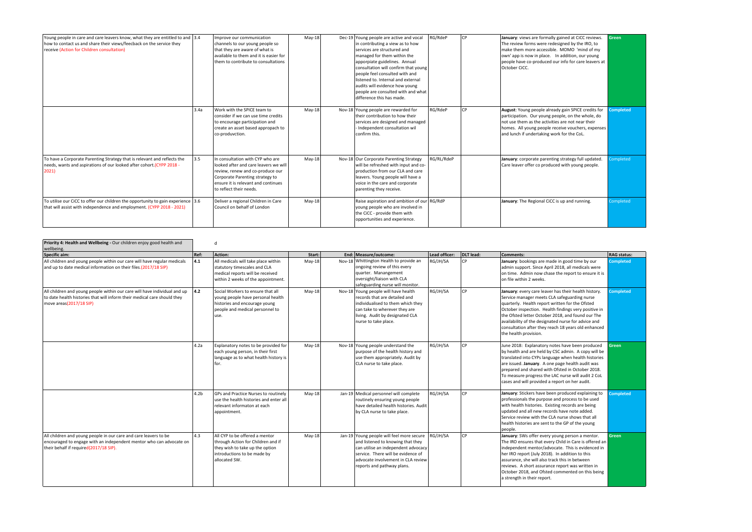| Young people in care and care leavers know, what they are entitled to and 3.4<br>how to contact us and share their views/feecback on the service they<br>receive (Action for Children consultation) |      | Improve our communication<br>channels to our young people so<br>that they are aware of what is<br>available to them and it is easier for<br>them to contribute to consultations                                      | $May-18$ | Dec-19 Young people are active and vocal<br>in contributing a view as to how<br>Iservices are structured and<br>managed for them within the<br>apporpiate guidelines. Annual<br>consultation will confirm that young<br>people feel consulted with and<br>listened to. Internal and external<br>audits will evidence how young<br>people are consulted with and what<br>I difference this has made. | RG/RdeP    | CP | January: views are formally gained at CiCC reviews.<br>The review forms were redesigned by the IRO, to<br>make them more accessible. MOMO 'mind of my<br>own' app is now in place. In addition, our young<br>people have co-produced our info for care leavers at<br>October CiCC. | Green            |
|-----------------------------------------------------------------------------------------------------------------------------------------------------------------------------------------------------|------|----------------------------------------------------------------------------------------------------------------------------------------------------------------------------------------------------------------------|----------|-----------------------------------------------------------------------------------------------------------------------------------------------------------------------------------------------------------------------------------------------------------------------------------------------------------------------------------------------------------------------------------------------------|------------|----|------------------------------------------------------------------------------------------------------------------------------------------------------------------------------------------------------------------------------------------------------------------------------------|------------------|
|                                                                                                                                                                                                     | 3.4a | Work with the SPICE team to<br>consider if we can use time credits<br>to encourage participation and<br>create an asset based appropach to<br>co-produvction.                                                        | $May-18$ | Nov-18 Young people are rewarded for<br>I their contribution to how their<br>services are designed and managed<br>- Independent consultation wil<br>confirm this.                                                                                                                                                                                                                                   | RG/RdeP    | CP | August: Young people already gain SPICE credits for<br>participation. Our young people, on the whole, do<br>not use them as the activities are not near their<br>homes. All young people receive vouchers, expenses<br>and lunch if undertaking work for the CoL.                  | <b>Completed</b> |
| To have a Corporate Parenting Strategy that is relevant and reflects the<br>needs, wants and aspirations of our looked after cohort (CYPP 2018 -<br>$ 2021\rangle$                                  | 3.5  | In consultation with CYP who are<br>llooked after and care leavers we will<br>review, renew and co-produce our<br>Corporate Parenting strategy to<br>lensure it is relevant and continues<br>to reflect their needs. | $May-18$ | Nov-18 Our Corporate Parenting Strategy<br>will be refreshed with input and co-<br>production from our CLA and care<br>leavers. Young people will have a<br>voice in the care and corporate<br>parenting they receive.                                                                                                                                                                              | RG/RL/RdeP |    | January: corporate parenting strategy full updated.<br>Care leaver offer co produced with young people.                                                                                                                                                                            | ompleted         |
| To utilise our CiCC to offer our children the opportunity to gain experience   3.6<br>that will assist with independence and employment. (CYPP 2018 - 2021)                                         |      | Deliver a regional Children in Care<br>Council on behalf of London                                                                                                                                                   | $May-18$ | Raise aspiration and ambition of our RG/RdP<br>voung people who are involved in<br>the CiCC - provide them with<br>opportunities and experience.                                                                                                                                                                                                                                                    |            |    | January: The Regional CiCC is up and running.                                                                                                                                                                                                                                      | <b>Completed</b> |

| Priority 4: Health and Wellbeing - Our children enjoy good health and<br>wellbeing.                                                                                               | Ref:             | d                                                                                                                                                        |                    |                                                                                                                                                                                                                                  |                           | DLT lead: |                                                                                                                                                                                                                                                                                                                                                                                                             |                                        |
|-----------------------------------------------------------------------------------------------------------------------------------------------------------------------------------|------------------|----------------------------------------------------------------------------------------------------------------------------------------------------------|--------------------|----------------------------------------------------------------------------------------------------------------------------------------------------------------------------------------------------------------------------------|---------------------------|-----------|-------------------------------------------------------------------------------------------------------------------------------------------------------------------------------------------------------------------------------------------------------------------------------------------------------------------------------------------------------------------------------------------------------------|----------------------------------------|
| Specific aim:<br>All children and young people within our care will have regular medicals<br>and up to date medical information on their files.(2017/18 SIP)                      | 4.1              | Action:<br>All medicals will take place within<br>statutory timescales and CLA<br>medical reports will be received<br>within 2 weeks of the appointment. | Start:<br>$May-18$ | End:   Measure/outcome:<br>Nov-18 Whittington Health to provide an<br>ongoing review of this every<br>quarter. Manangement<br>oversight/liaison with CLA<br>safeguarding nurse will monitor.                                     | Lead officer:<br>RG/JH/SA | $\Gamma$  | Comments:<br>January: bookings are made in good time by our<br>admin support. Since April 2018, all medicals were<br>on time. Admin now chase the report to ensure it is<br>on file within 2 weeks.                                                                                                                                                                                                         | <b>RAG</b> status:<br><b>Completed</b> |
| All children and young people within our care will have individual and up<br>to date health histories that will inform their medical care should they<br>move areas(2017/18 SIP)  | 4.2              | Social Workers to ensure that all<br>young people have personal health<br>histories and encourage young<br>people and medical personnel to<br>use.       | $May-18$           | Nov-18 Young people will have health<br>records that are detailed and<br>individualised to them which they<br>can take to wherever they are<br>living. Audit by designated CLA<br>nurse to take place.                           | RG/JH/SA                  | l CP      | January: every care leaver has their health history.<br>Service manager meets CLA safeguarding nurse<br>quarterly. Health report written for the Ofsted<br>October inspection. Health findings very positive in<br>the Ofsted letter October 2018, and found our The<br>availability of the designated nurse for advice and<br>consultation after they reach 18 years old enhanced<br>the health provision. | <b>Completed</b>                       |
|                                                                                                                                                                                   | 4.2a             | Explanatory notes to be provided for<br>each young person, in their first<br>language as to what health history is<br>for.                               | May-18             | Nov-18 Young people understand the<br>purpose of the health history and<br>use them appropriately. Audit by<br>CLA nurse to take place.                                                                                          | RG/JH/SA                  | l CP      | June 2018: Explanatory notes have been produced<br>by health and are held by CSC admin. A copy will be<br>translated into CYPs language when health histories<br>are issued. January. A one page health audit was<br>I prepared and shared with Ofsted in October 2018.<br>To measure progress the LAC nurse will audit 2 CoL<br>cases and will provided a report on her audit.                             | <b>Green</b>                           |
|                                                                                                                                                                                   | 4.2 <sub>b</sub> | <b>GPs and Practice Nurses to routinely</b><br>use the health histories and enter all<br>relevant informaton at each<br>appointment.                     | $May-18$           | Jan-19 Medical personnel will complete<br>routinely ensuring young people<br>have detailed health histories. Audit<br>by CLA nurse to take place.                                                                                | RG/JH/SA                  | CP        | January: Stickers have been produced explaining to<br>professionals the purpose and process to be used<br>with health histories. Existing records are being<br>updated and all new records have note added.<br>Service review with the CLA nurse shows that all<br>health histories are sent to the GP of the young<br>people.                                                                              | <b>Completed</b>                       |
| All children and young people in our care and care leavers to be<br>encouraged to engage with an independent mentor who can advocate on<br>their behalf if required(2017/18 SIP). | 4.3              | All CYP to be offered a mentor<br>through Action for Children and if<br>they wish to take up the option<br>introductions to be made by<br>allocated SW.  | $May-18$           | Jan-19 Young people will feel more secure<br>and listened to knowing that they<br>can utilise an independent advocacy<br>Iservice. There will be evidence of<br>advocate involvement in CLA review<br>reports and pathway plans. | RG/JH/SA                  | l CP      | January: SWs offer every young person a mentor.<br>The IRO ensures that every Child in Care is offered an<br>independent mentor/advocate. This is evidenced in<br>her IRO report (July 2018). In addition to this<br>assurance, she will also track this in between<br>reviews. A short assurance report was written in<br>October 2018, and Ofsted commented on this being<br>a strength in their report.  | Green                                  |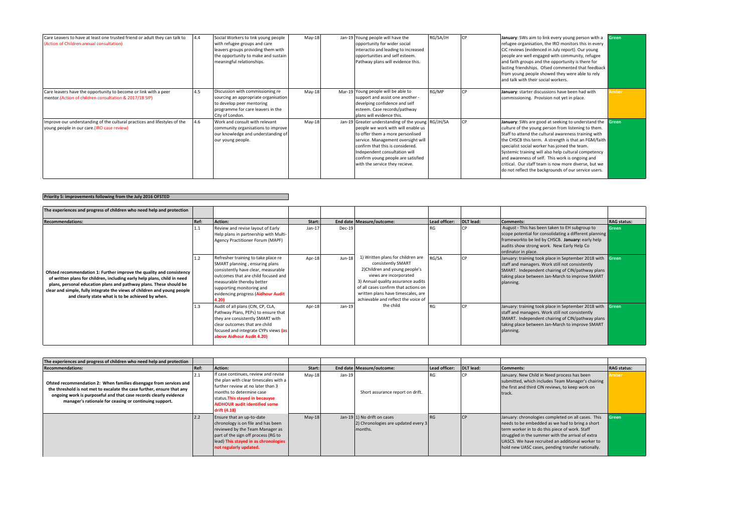| Care Leavers to have at least one trusted friend or adult they can talk to<br>(Action of Children annual consultation)     | 4.4 | Social Workers to link young people<br>with refugee groups and care<br>leavers groups providing them with<br>the opportunity to make and sustain<br>meaningful relationships. | $May-18$ | Jan-19 Young people will have the<br>opportunity for wider social<br>interactio and leading to increased<br>opportunities and self esteem.<br>Pathway plans will evidence this.                                                                                                                                 | RG/SA/JH | LCP.       | January: SWs aim to link every young person with a<br>refugee organisation, the IRO monitors this in every<br>CiC reviews (evidenced in July report). Our young<br>people are well engaged with community, refugee<br>and faith groups and the opportunity is there for<br>lasting friendships. Ofsed commented that feedback<br>from young people showed they were able to rely<br>and talk with their social workers.                                                                                     | Green        |
|----------------------------------------------------------------------------------------------------------------------------|-----|-------------------------------------------------------------------------------------------------------------------------------------------------------------------------------|----------|-----------------------------------------------------------------------------------------------------------------------------------------------------------------------------------------------------------------------------------------------------------------------------------------------------------------|----------|------------|-------------------------------------------------------------------------------------------------------------------------------------------------------------------------------------------------------------------------------------------------------------------------------------------------------------------------------------------------------------------------------------------------------------------------------------------------------------------------------------------------------------|--------------|
| Care leavers have the opportunity to become or link with a peer<br>mentor. (Action of children consultation & 2017/18 SIP) | 4.5 | Discussion with commissioning re<br>sourcing an appropriate organisation<br>to develop peer mentoring<br>programme for care leavers in the<br>City of London.                 | $May-18$ | Mar-19 Young people will be able to<br>support and assist one another -<br>develping confidence and self<br>esteem. Case records/pathway<br>I plans will evidence this.                                                                                                                                         | RG/MP    | LCP        | January: starter discussions have been had with<br>commissioning. Provision not yet in place.                                                                                                                                                                                                                                                                                                                                                                                                               | <b>Amber</b> |
| Improve our understanding of the cultural practices and lifestyles of the<br>(young people in our care. (IRO case review)  | 4.6 | Work and consult with relevant<br>community organisations to improve<br>our knowledge and understanding of<br>our young people.                                               | $May-18$ | Jan-19 Greater understanding of the young RG/JH/SA<br>people we work with will enable us<br>to offer them a more personlised<br>service. Management oversight will<br>confirm that this is considered.<br>Independent consultation will<br>confirm young people are satisfied<br>with the service they recieve. |          | <b>ICP</b> | January: SWs are good at seeking to understand the Green<br>culture of the young person from listening to them.<br>Staff to attend the cultural awareness training with<br>the CHSCB this term. A strength is that an FGM/faith<br>specialist social worker has joined the team.<br>Systemic training will also help cultural competency<br>and awareness of self. This work is ongoing and<br>critical. Our staff team is now more diverse, but we<br>do not reflect the backgrounds of our service users. |              |

## **Priority 5: improvements following from the July 2016 OFSTED**

| The experiences and progress of children who need help and protection                                                                                                                                                                                                                                                                                   |      |                                                                                                                                                                                                                                                     |          |          |                                                                                                                                                                                                                                                                                |               |           |                                                                                                                                                                                                                                   |                    |
|---------------------------------------------------------------------------------------------------------------------------------------------------------------------------------------------------------------------------------------------------------------------------------------------------------------------------------------------------------|------|-----------------------------------------------------------------------------------------------------------------------------------------------------------------------------------------------------------------------------------------------------|----------|----------|--------------------------------------------------------------------------------------------------------------------------------------------------------------------------------------------------------------------------------------------------------------------------------|---------------|-----------|-----------------------------------------------------------------------------------------------------------------------------------------------------------------------------------------------------------------------------------|--------------------|
| <b>Recommendations:</b>                                                                                                                                                                                                                                                                                                                                 | Ref: | Action:                                                                                                                                                                                                                                             | Start:   |          | End date   Measure/outcome:                                                                                                                                                                                                                                                    | Lead officer: | DLT lead: | Comments:                                                                                                                                                                                                                         | <b>RAG</b> status: |
| Ofsted recommendation 1: Further improve the quality and consistency<br>of written plans for children, including early help plans, child in need<br>plans, personal education plans and pathway plans. These should be<br>clear and simple, fully integrate the views of children and young people<br>and clearly state what is to be achieved by when. | 1.1  | Review and revise layout of Early<br>Help plans in partnership with Multi-<br>Agency Practitioner Forum (MAPF)                                                                                                                                      | $Jan-17$ | $Dec-19$ |                                                                                                                                                                                                                                                                                | RG            |           | August - This has been taken to EH subgroup to<br>scope potential for consolidating a different planning<br>frameworkto be led by CHSCB. January: early help<br>audits show strong work. New Early Help Co<br>ordinator in place. | <b>Green</b>       |
|                                                                                                                                                                                                                                                                                                                                                         | 1.2  | Refresher training to take place re<br>SMART planning, ensuring plans<br>consistently have clear, measurable<br>outcomes that are child focused and<br>measurable thereby better<br>supporting monitoring and<br>evidencing progress (Aidhour Audit | Apr-18   | Jun-18   | 1) Written plans for children are<br>consistently SMART<br>2) Children and young people's<br>views are incorporated<br>3) Annual quality assurance audits<br>of all cases confirm that actions on<br>written plans have timescales, are<br>achievable and reflect the voice of | RG/SA         | l CP      | January: training took place in September 2018 with Green<br>staff and managers. Work still not consistently<br>SMART. Independent chairing of CIN/pathway plans<br>taking place between Jan-March to improve SMART<br>planning.  |                    |
|                                                                                                                                                                                                                                                                                                                                                         | 1.3  | Audit of all plans (CIN, CP, CLA,<br>Pathway Plans, PEPs) to ensure that<br>they are consistently SMART with<br>clear outcomes that are child<br>focused and integrate CYPs views (as<br>above Aidhour Audit 4.20)                                  | Apr-18   | $Jan-19$ | the child                                                                                                                                                                                                                                                                      | <b>RG</b>     |           | January: training took place in September 2018 with Green<br>staff and managers. Work still not consistently<br>SMART. Independent chairing of CIN/pathway plans<br>taking place between Jan-March to improve SMART<br>planning.  |                    |

| The experiences and progress of children who need help and protection                                                                                                                                                                                                       |      |                                                                                                                                                                                                                                           |          |                |                                                                                          |               |           |                                                                                                                                                                                                                                                                                                                       |                    |
|-----------------------------------------------------------------------------------------------------------------------------------------------------------------------------------------------------------------------------------------------------------------------------|------|-------------------------------------------------------------------------------------------------------------------------------------------------------------------------------------------------------------------------------------------|----------|----------------|------------------------------------------------------------------------------------------|---------------|-----------|-----------------------------------------------------------------------------------------------------------------------------------------------------------------------------------------------------------------------------------------------------------------------------------------------------------------------|--------------------|
| Recommendations:                                                                                                                                                                                                                                                            | Ref: | Action:                                                                                                                                                                                                                                   | Start:   |                | End date Measure/outcome:                                                                | Lead officer: | DLT lead: | Comments:                                                                                                                                                                                                                                                                                                             | <b>RAG</b> status: |
| Ofsted recommendation 2: When families disengage from services and<br>the threshold is not met to excalate the case further, ensure that any<br>ongoing work is purposeful and that case records clearly evidence<br>manager's rationale for ceasing or continuing support. |      | If case continues, review and revise<br>the plan with clear timescales with a<br>further review at no later than 3<br>months to determine case<br>status. This stayed in becauyse<br><b>AIDHOUR audit identified some</b><br>drift (4.18) | $May-18$ | Jan-19 $\vert$ | Short assurance report on drift.                                                         |               |           | January. New Child in Need process has been<br>submitted, which includes Team Manager's chairing<br>the first and third CIN reviews, to keep work on<br>track.                                                                                                                                                        | <b>Amber</b>       |
|                                                                                                                                                                                                                                                                             | 12.2 | Ensure that an up-to-date<br>chronology is on file and has been<br>reviewed by the Team Manager as<br>part of the sign off process (RG to<br>lead) This stayed in as chronologies<br>not regularly updated.                               | $May-18$ |                | Jan-19 $ 1\rangle$ No drift on cases<br>[2] Chronologies are updated every 3.<br>months. | <b>RG</b>     |           | January: chronologies completed on all cases. This<br>needs to be embedded as we had to bring a short<br>term worker in to do this piece of work. Staff<br>struggled in the summer with the arrival of extra<br>UASCS. We have recruited an additional worker to<br>hold new UASC cases, pending transfer nationally. | <b>Green</b>       |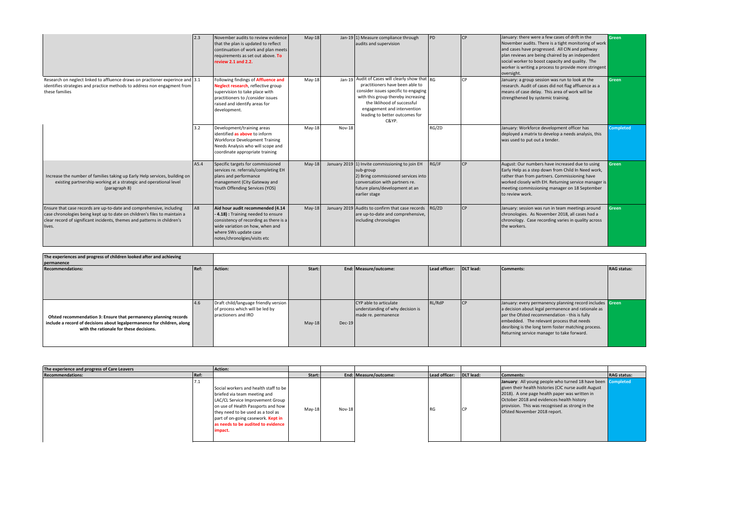|                                                                                                                                                                                                                                         | 2.3            | November audits to review evidence<br>that the plan is updated to reflect<br>continuation of work and plan meets<br>requirements as set out above. To<br>review 2.1 and 2.2.                                  | $May-18$ |               | Jan-19 1) Measure compliance through<br>audits and supervision                                                                                                                                                                                                                                    | PD    | <b>ICP</b> | January: there were a few cases of drift in the<br>November audits. There is a tight monitoring of work<br>and cases have progressed. All CIN and pathway<br>plan reviews are being chaired by an independent<br>social worker to boost capacity and quality. The<br>worker is writing a process to provide more stringent<br>oversight. | <b>Green</b>     |
|-----------------------------------------------------------------------------------------------------------------------------------------------------------------------------------------------------------------------------------------|----------------|---------------------------------------------------------------------------------------------------------------------------------------------------------------------------------------------------------------|----------|---------------|---------------------------------------------------------------------------------------------------------------------------------------------------------------------------------------------------------------------------------------------------------------------------------------------------|-------|------------|------------------------------------------------------------------------------------------------------------------------------------------------------------------------------------------------------------------------------------------------------------------------------------------------------------------------------------------|------------------|
| Research on neglect linked to affluence draws on practioner experince and 3.1<br>identifies strategies and practice methods to address non engagment from<br>these families                                                             |                | Following findings of <b>Affluence and</b><br>Neglect research, reflective group<br>supervision to take place with<br>practitioners to /consider issues<br>raised and identify areas for<br>development.      | $May-18$ |               | $_{\text{Jan-19}}$ Audit of Cases will clearly show that $_{\text{RG}}$<br>practitioners have been able to<br>consider issues specific to engaging<br>with this group thereby increasing<br>the liklihood of successful<br>engagement and intervention<br>leading to better outcomes for<br>C&YP. |       | <b>ICP</b> | January: a group session was run to look at the<br>research. Audit of cases did not flag affluence as a<br>means of case delay. This area of work will be<br>strengthened by systemic training.                                                                                                                                          | Green            |
|                                                                                                                                                                                                                                         | 3.2            | Development/training areas<br>identified as above to inform<br><b>Workforce Development Training</b><br>Needs Analysis who will scope and<br>coordinate appropriate training                                  | $May-18$ | <b>Nov-18</b> |                                                                                                                                                                                                                                                                                                   | RG/ZD |            | January: Workforce development officer has<br>deployed a matrix to develop a needs analysis, this<br>was used to put out a tender.                                                                                                                                                                                                       | <b>Completed</b> |
| Increase the number of families taking up Early Help services, building on<br>existing partnership working at a strategic and operational level<br>(paragraph 8)                                                                        | A5.4           | Specific targets for commissioned<br>services re. referrals/completing EH<br>plans and performance<br>management (City Gateway and<br>Youth Offending Services (YOS)                                          | $May-18$ |               | January 2019 1) Invite commissioning to join EH<br>sub-group<br>2) Bring commissioned services into<br>conversation with partners re.<br>future plans/development at an<br>earlier stage                                                                                                          | RG/JF | <b>ICP</b> | August: Our numbers have increased due to using<br>Early Help as a step down from Child In Need work,<br>rather than from partners. Commissioning have<br>worked closely with EH. Returning service manager is<br>meeting commissioning manager on 18 September<br>to review work.                                                       | <b>Green</b>     |
| Ensure that case records are up-to-date and comprehensive, including<br>case chronologies being kept up to date on children's files to maintain a<br>clear record of significant incidents, themes and patterns in children's<br>lives. | A <sub>8</sub> | Aid hour audit recommended (4.14<br>- 4.18) : Training needed to ensure<br>consistency of recording as there is a<br>wide variation on how, when and<br>where SWs update case<br>notes/chronolgies/visits etc | $May-18$ |               | January 2019 Audits to confirm that case records RG/ZD<br>are up-to-date and comprehensive,<br>including chronologies                                                                                                                                                                             |       | <b>ICP</b> | January: session was run in team meetings around<br>chronologies. As November 2018, all cases had a<br>chronology. Case recording varies in quality across<br>the workers.                                                                                                                                                               | Green            |

| The experiences and progress of children looked after and achieving<br>permanence                                                                                                      |      |                                                                                                   |          |          |                                                                                   |                         |    |                                                                                                                                                                                                                                                                                                                   |             |
|----------------------------------------------------------------------------------------------------------------------------------------------------------------------------------------|------|---------------------------------------------------------------------------------------------------|----------|----------|-----------------------------------------------------------------------------------|-------------------------|----|-------------------------------------------------------------------------------------------------------------------------------------------------------------------------------------------------------------------------------------------------------------------------------------------------------------------|-------------|
| <b>Recommendations:</b>                                                                                                                                                                | Ref: | Action:                                                                                           | Start: I |          | End:   Measure/outcome:                                                           | Lead officer: DLT lead: |    | Comments:                                                                                                                                                                                                                                                                                                         | RAG status: |
|                                                                                                                                                                                        |      |                                                                                                   |          |          |                                                                                   |                         |    |                                                                                                                                                                                                                                                                                                                   |             |
|                                                                                                                                                                                        |      |                                                                                                   |          |          |                                                                                   |                         |    |                                                                                                                                                                                                                                                                                                                   |             |
|                                                                                                                                                                                        |      |                                                                                                   |          |          |                                                                                   |                         |    |                                                                                                                                                                                                                                                                                                                   |             |
| Ofsted recommendation 3: Ensure that permanency planning records<br>include a record of decisions about legalpermanence for children, along<br>with the rationale for these decisions. | 4.6  | Draft child/language friendly version<br>of process which will be led by<br>I practioners and IRO | $May-18$ | $Dec-19$ | CYP able to articulate<br>understanding of why decision is<br>made re. permanence | RL/RdP                  | CP | January: every permanency planning record includes Green<br>a decision about legal permanence and rationale as<br>per the Ofsted recommendation - this is fully<br>embedded. The relevant process that needs<br>desribing is the long term foster matching process.<br>Returning service manager to take forward. |             |

| The experience and progress of Care Leavers |                                 | <b>Action:</b>                                                                                                                                                                                                                                                                |          |          |                         |                                         |      |                                                                                                                                                                                                                                                                                                      |                    |
|---------------------------------------------|---------------------------------|-------------------------------------------------------------------------------------------------------------------------------------------------------------------------------------------------------------------------------------------------------------------------------|----------|----------|-------------------------|-----------------------------------------|------|------------------------------------------------------------------------------------------------------------------------------------------------------------------------------------------------------------------------------------------------------------------------------------------------------|--------------------|
| <b>Recommendations:</b>                     | Ref:                            |                                                                                                                                                                                                                                                                               | Start:   |          | End:   Measure/outcome: | $\vert$ Lead officer: $\vert$ DLT lead: |      | Comments:                                                                                                                                                                                                                                                                                            | <b>RAG status:</b> |
|                                             | $\overline{1}$ . $\overline{1}$ | Social workers and health staff to be<br>briefed via team meeting and<br>LAC/CL Service Improvement Group<br>on use of Health Passports and how  <br>they need to be used as a tool as<br>part of on-going casework. Kept in<br>as needs to be audited to evidence<br>impact. | $May-18$ | $Nov-18$ |                         | RG                                      | l CP | January: All young people who turned 18 have been Completed<br>given their health histories (CIC nurse audit August<br>2018). A one page health paper was written in<br>October 2018 and evidences health history<br>provision. This was recognised as strong in the<br>Ofsted November 2018 report. |                    |